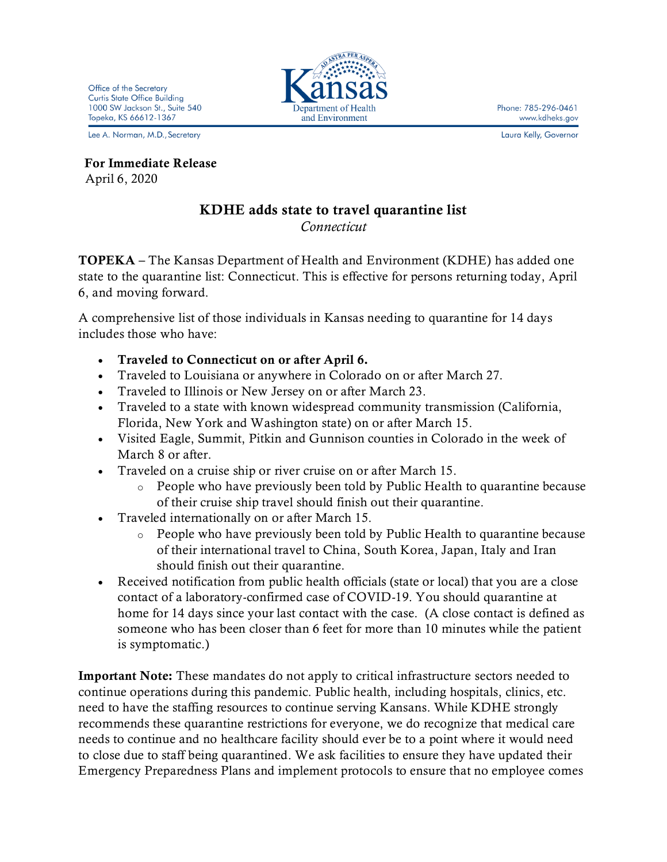Phone: 785-296-0461 www.kdheks.gov

Laura Kelly, Governor

Office of the Secretary **Curtis State Office Building** 1000 SW Jackson St., Suite 540 Topeka, KS 66612-1367

Lee A. Norman, M.D., Secretary

 For Immediate Release April 6, 2020

## KDHE adds state to travel quarantine list

*Connecticut*

TOPEKA – The Kansas Department of Health and Environment (KDHE) has added one state to the quarantine list: Connecticut. This is effective for persons returning today, April 6, and moving forward.

A comprehensive list of those individuals in Kansas needing to quarantine for 14 days includes those who have:

- Traveled to Connecticut on or after April 6.
- Traveled to Louisiana or anywhere in Colorado on or after March 27.
- Traveled to Illinois or New Jersey on or after March 23.
- Traveled to a state with known widespread community transmission (California, Florida, New York and Washington state) on or after March 15.
- Visited Eagle, Summit, Pitkin and Gunnison counties in Colorado in the week of March 8 or after.
- Traveled on a cruise ship or river cruise on or after March 15.
	- o People who have previously been told by Public Health to quarantine because of their cruise ship travel should finish out their quarantine.
- Traveled internationally on or after March 15.
	- o People who have previously been told by Public Health to quarantine because of their international travel to China, South Korea, Japan, Italy and Iran should finish out their quarantine.
- Received notification from public health officials (state or local) that you are a close contact of a laboratory-confirmed case of COVID-19. You should quarantine at home for 14 days since your last contact with the case. (A close contact is defined as someone who has been closer than 6 feet for more than 10 minutes while the patient is symptomatic.)

Important Note: These mandates do not apply to critical infrastructure sectors needed to continue operations during this pandemic. Public health, including hospitals, clinics, etc. need to have the staffing resources to continue serving Kansans. While KDHE strongly recommends these quarantine restrictions for everyone, we do recognize that medical care needs to continue and no healthcare facility should ever be to a point where it would need to close due to staff being quarantined. We ask facilities to ensure they have updated their Emergency Preparedness Plans and implement protocols to ensure that no employee comes